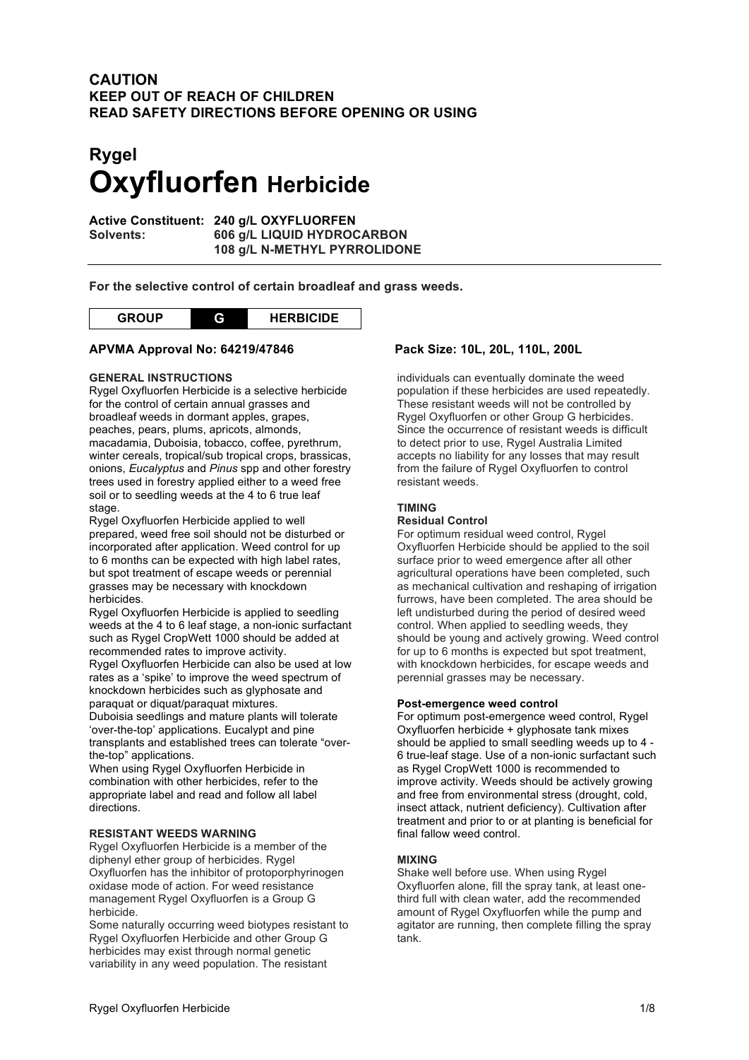## **CAUTION KEEP OUT OF REACH OF CHILDREN READ SAFETY DIRECTIONS BEFORE OPENING OR USING**

# **Rygel Oxyfluorfen Herbicide**

**Active Constituent: 240 g/L OXYFLUORFEN Solvents: 606 g/L LIQUID HYDROCARBON 108 g/L N-METHYL PYRROLIDONE**

**For the selective control of certain broadleaf and grass weeds.**



### **APVMA Approval No: 64219/47846 Pack Size: 10L, 20L, 110L, 200L**

#### **GENERAL INSTRUCTIONS**

Rygel Oxyfluorfen Herbicide is a selective herbicide for the control of certain annual grasses and broadleaf weeds in dormant apples, grapes, peaches, pears, plums, apricots, almonds, macadamia, Duboisia, tobacco, coffee, pyrethrum, winter cereals, tropical/sub tropical crops, brassicas, onions, *Eucalyptus* and *Pinus* spp and other forestry trees used in forestry applied either to a weed free soil or to seedling weeds at the 4 to 6 true leaf stage.

Rygel Oxyfluorfen Herbicide applied to well prepared, weed free soil should not be disturbed or incorporated after application. Weed control for up to 6 months can be expected with high label rates, but spot treatment of escape weeds or perennial grasses may be necessary with knockdown herbicides.

Rygel Oxyfluorfen Herbicide is applied to seedling weeds at the 4 to 6 leaf stage, a non-ionic surfactant such as Rygel CropWett 1000 should be added at recommended rates to improve activity.

Rygel Oxyfluorfen Herbicide can also be used at low rates as a 'spike' to improve the weed spectrum of knockdown herbicides such as glyphosate and paraquat or diquat/paraquat mixtures.

Duboisia seedlings and mature plants will tolerate 'over-the-top' applications. Eucalypt and pine transplants and established trees can tolerate "overthe-top" applications.

When using Rygel Oxyfluorfen Herbicide in combination with other herbicides, refer to the appropriate label and read and follow all label directions.

#### **RESISTANT WEEDS WARNING**

Rygel Oxyfluorfen Herbicide is a member of the diphenyl ether group of herbicides. Rygel Oxyfluorfen has the inhibitor of protoporphyrinogen oxidase mode of action. For weed resistance management Rygel Oxyfluorfen is a Group G herbicide.

Some naturally occurring weed biotypes resistant to Rygel Oxyfluorfen Herbicide and other Group G herbicides may exist through normal genetic variability in any weed population. The resistant

individuals can eventually dominate the weed population if these herbicides are used repeatedly. These resistant weeds will not be controlled by Rygel Oxyfluorfen or other Group G herbicides. Since the occurrence of resistant weeds is difficult to detect prior to use, Rygel Australia Limited accepts no liability for any losses that may result from the failure of Rygel Oxyfluorfen to control resistant weeds.

#### **TIMING**

#### **Residual Control**

For optimum residual weed control, Rygel Oxyfluorfen Herbicide should be applied to the soil surface prior to weed emergence after all other agricultural operations have been completed, such as mechanical cultivation and reshaping of irrigation furrows, have been completed. The area should be left undisturbed during the period of desired weed control. When applied to seedling weeds, they should be young and actively growing. Weed control for up to 6 months is expected but spot treatment, with knockdown herbicides, for escape weeds and perennial grasses may be necessary.

#### **Post-emergence weed control**

For optimum post-emergence weed control, Rygel Oxyfluorfen herbicide + glyphosate tank mixes should be applied to small seedling weeds up to 4 - 6 true-leaf stage. Use of a non-ionic surfactant such as Rygel CropWett 1000 is recommended to improve activity. Weeds should be actively growing and free from environmental stress (drought, cold, insect attack, nutrient deficiency). Cultivation after treatment and prior to or at planting is beneficial for final fallow weed control.

#### **MIXING**

Shake well before use. When using Rygel Oxyfluorfen alone, fill the spray tank, at least onethird full with clean water, add the recommended amount of Rygel Oxyfluorfen while the pump and agitator are running, then complete filling the spray tank.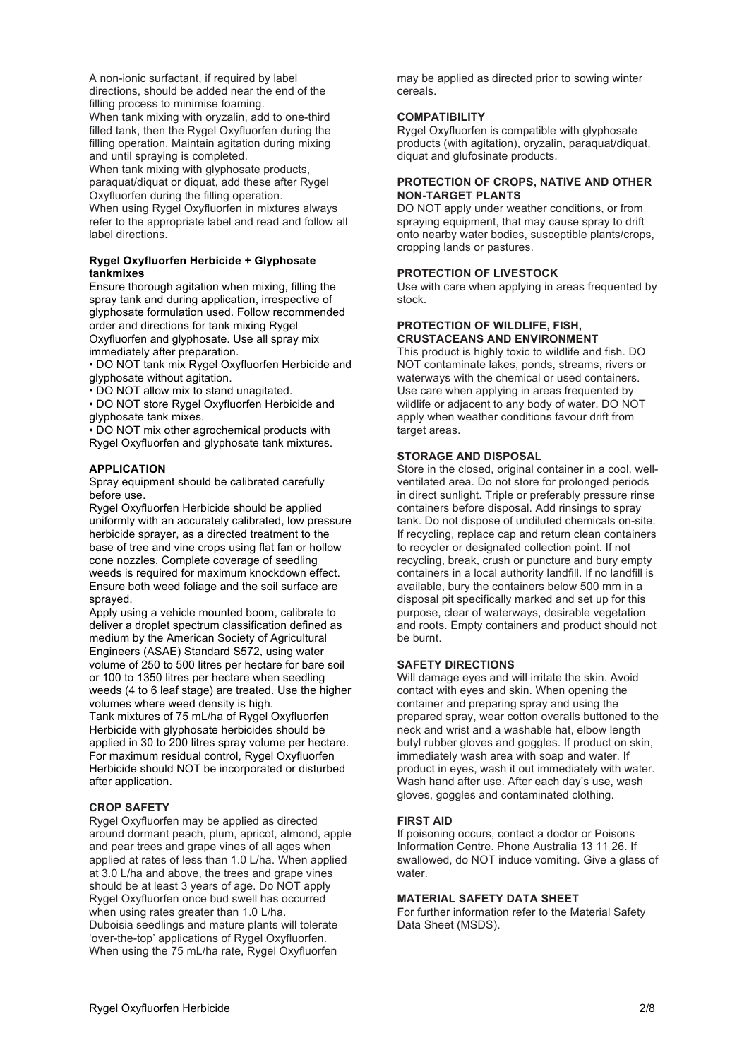A non-ionic surfactant, if required by label directions, should be added near the end of the filling process to minimise foaming. When tank mixing with oryzalin, add to one-third

filled tank, then the Rygel Oxyfluorfen during the filling operation. Maintain agitation during mixing and until spraying is completed.

When tank mixing with glyphosate products, paraquat/diquat or diquat, add these after Rygel Oxyfluorfen during the filling operation. When using Rygel Oxyfluorfen in mixtures always refer to the appropriate label and read and follow all label directions.

#### **Rygel Oxyfluorfen Herbicide + Glyphosate tankmixes**

Ensure thorough agitation when mixing, filling the spray tank and during application, irrespective of glyphosate formulation used. Follow recommended order and directions for tank mixing Rygel Oxyfluorfen and glyphosate. Use all spray mix immediately after preparation.

• DO NOT tank mix Rygel Oxyfluorfen Herbicide and glyphosate without agitation.

• DO NOT allow mix to stand unagitated.

• DO NOT store Rygel Oxyfluorfen Herbicide and glyphosate tank mixes.

• DO NOT mix other agrochemical products with Rygel Oxyfluorfen and glyphosate tank mixtures.

#### **APPLICATION**

Spray equipment should be calibrated carefully before use.

Rygel Oxyfluorfen Herbicide should be applied uniformly with an accurately calibrated, low pressure herbicide sprayer, as a directed treatment to the base of tree and vine crops using flat fan or hollow cone nozzles. Complete coverage of seedling weeds is required for maximum knockdown effect. Ensure both weed foliage and the soil surface are sprayed.

Apply using a vehicle mounted boom, calibrate to deliver a droplet spectrum classification defined as medium by the American Society of Agricultural Engineers (ASAE) Standard S572, using water volume of 250 to 500 litres per hectare for bare soil or 100 to 1350 litres per hectare when seedling weeds (4 to 6 leaf stage) are treated. Use the higher volumes where weed density is high. Tank mixtures of 75 mL/ha of Rygel Oxyfluorfen Herbicide with glyphosate herbicides should be

applied in 30 to 200 litres spray volume per hectare. For maximum residual control, Rygel Oxyfluorfen Herbicide should NOT be incorporated or disturbed after application.

#### **CROP SAFETY**

Rygel Oxyfluorfen may be applied as directed around dormant peach, plum, apricot, almond, apple and pear trees and grape vines of all ages when applied at rates of less than 1.0 L/ha. When applied at 3.0 L/ha and above, the trees and grape vines should be at least 3 years of age. Do NOT apply Rygel Oxyfluorfen once bud swell has occurred when using rates greater than 1.0 L/ha. Duboisia seedlings and mature plants will tolerate 'over-the-top' applications of Rygel Oxyfluorfen. When using the 75 mL/ha rate, Rygel Oxyfluorfen

may be applied as directed prior to sowing winter cereals.

#### **COMPATIBILITY**

Rygel Oxyfluorfen is compatible with glyphosate products (with agitation), oryzalin, paraquat/diquat, diquat and glufosinate products.

#### **PROTECTION OF CROPS, NATIVE AND OTHER NON-TARGET PLANTS**

DO NOT apply under weather conditions, or from spraying equipment, that may cause spray to drift onto nearby water bodies, susceptible plants/crops, cropping lands or pastures.

#### **PROTECTION OF LIVESTOCK**

Use with care when applying in areas frequented by stock.

#### **PROTECTION OF WILDLIFE, FISH, CRUSTACEANS AND ENVIRONMENT**

This product is highly toxic to wildlife and fish. DO NOT contaminate lakes, ponds, streams, rivers or waterways with the chemical or used containers. Use care when applying in areas frequented by wildlife or adjacent to any body of water. DO NOT apply when weather conditions favour drift from target areas.

#### **STORAGE AND DISPOSAL**

Store in the closed, original container in a cool, wellventilated area. Do not store for prolonged periods in direct sunlight. Triple or preferably pressure rinse containers before disposal. Add rinsings to spray tank. Do not dispose of undiluted chemicals on-site. If recycling, replace cap and return clean containers to recycler or designated collection point. If not recycling, break, crush or puncture and bury empty containers in a local authority landfill. If no landfill is available, bury the containers below 500 mm in a disposal pit specifically marked and set up for this purpose, clear of waterways, desirable vegetation and roots. Empty containers and product should not be burnt.

#### **SAFETY DIRECTIONS**

Will damage eyes and will irritate the skin. Avoid contact with eyes and skin. When opening the container and preparing spray and using the prepared spray, wear cotton overalls buttoned to the neck and wrist and a washable hat, elbow length butyl rubber gloves and goggles. If product on skin, immediately wash area with soap and water. If product in eyes, wash it out immediately with water. Wash hand after use. After each day's use, wash gloves, goggles and contaminated clothing.

#### **FIRST AID**

If poisoning occurs, contact a doctor or Poisons Information Centre. Phone Australia 13 11 26. If swallowed, do NOT induce vomiting. Give a glass of water.

#### **MATERIAL SAFETY DATA SHEET**

For further information refer to the Material Safety Data Sheet (MSDS).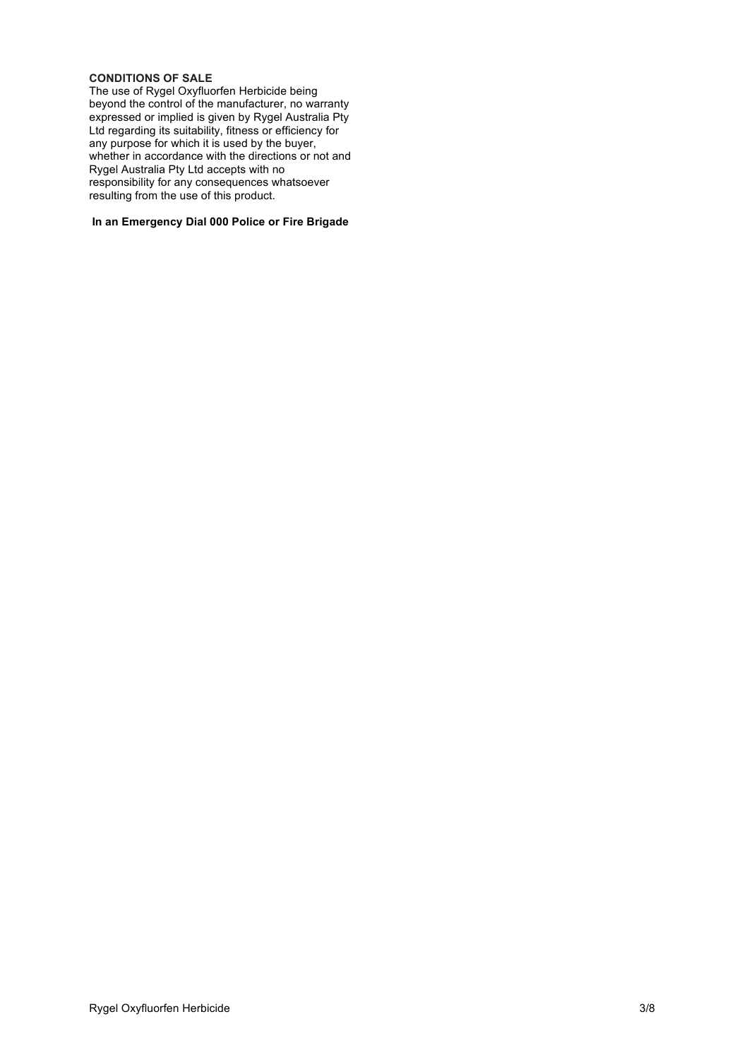#### **CONDITIONS OF SALE**

The use of Rygel Oxyfluorfen Herbicide being beyond the control of the manufacturer, no warranty expressed or implied is given by Rygel Australia Pty Ltd regarding its suitability, fitness or efficiency for any purpose for which it is used by the buyer, whether in accordance with the directions or not and Rygel Australia Pty Ltd accepts with no responsibility for any consequences whatsoever resulting from the use of this product.

#### **In an Emergency Dial 000 Police or Fire Brigade**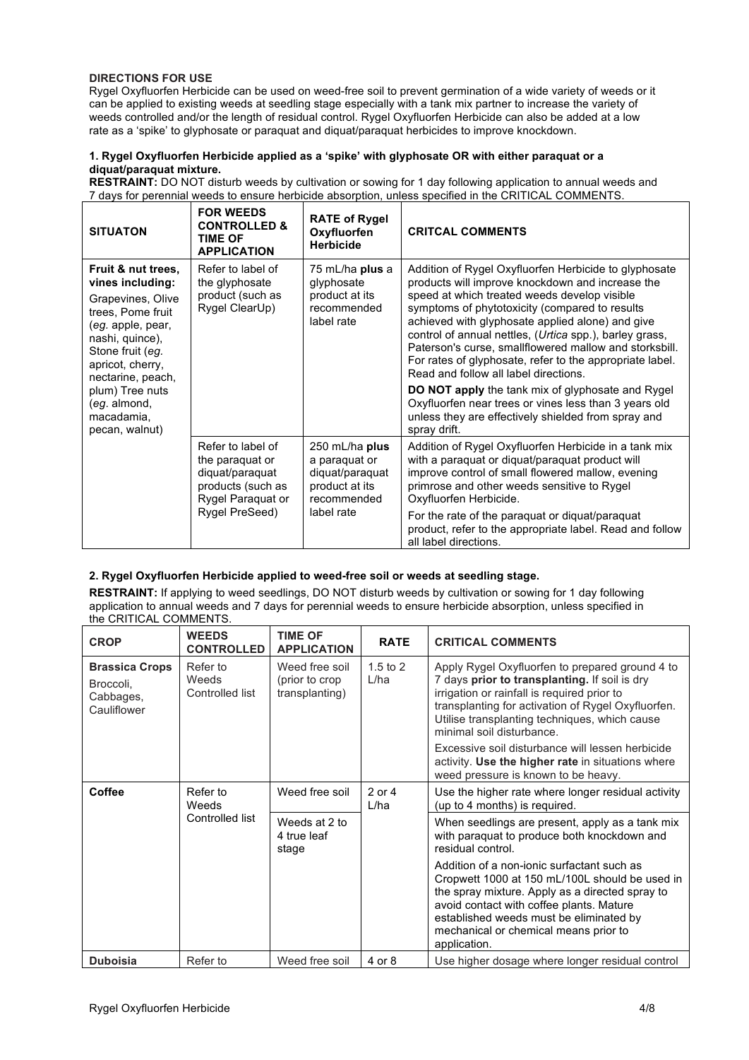#### **DIRECTIONS FOR USE**

Rygel Oxyfluorfen Herbicide can be used on weed-free soil to prevent germination of a wide variety of weeds or it can be applied to existing weeds at seedling stage especially with a tank mix partner to increase the variety of weeds controlled and/or the length of residual control. Rygel Oxyfluorfen Herbicide can also be added at a low rate as a 'spike' to glyphosate or paraquat and diquat/paraquat herbicides to improve knockdown.

#### **1. Rygel Oxyfluorfen Herbicide applied as a 'spike' with glyphosate OR with either paraquat or a diquat/paraquat mixture.**

**RESTRAINT:** DO NOT disturb weeds by cultivation or sowing for 1 day following application to annual weeds and 7 days for perennial weeds to ensure herbicide absorption, unless specified in the CRITICAL COMMENTS.

| <b>SITUATON</b>                                                                                                                                                                                                                                          | <b>FOR WEEDS</b><br><b>CONTROLLED &amp;</b><br><b>TIME OF</b><br><b>APPLICATION</b>                                 | <b>RATE of Rygel</b><br>Oxyfluorfen<br><b>Herbicide</b>                                           | <b>CRITCAL COMMENTS</b>                                                                                                                                                                                                                                                                                                                                                                                                                                                                                                                                                                                                                                               |
|----------------------------------------------------------------------------------------------------------------------------------------------------------------------------------------------------------------------------------------------------------|---------------------------------------------------------------------------------------------------------------------|---------------------------------------------------------------------------------------------------|-----------------------------------------------------------------------------------------------------------------------------------------------------------------------------------------------------------------------------------------------------------------------------------------------------------------------------------------------------------------------------------------------------------------------------------------------------------------------------------------------------------------------------------------------------------------------------------------------------------------------------------------------------------------------|
| Fruit & nut trees,<br>vines including:<br>Grapevines, Olive<br>trees, Pome fruit<br>(eg. apple, pear,<br>nashi, quince),<br>Stone fruit (eg.<br>apricot, cherry,<br>nectarine, peach,<br>plum) Tree nuts<br>(eg. almond,<br>macadamia,<br>pecan, walnut) | Refer to label of<br>the glyphosate<br>product (such as<br>Rygel ClearUp)                                           | 75 mL/ha plus a<br>glyphosate<br>product at its<br>recommended<br>label rate                      | Addition of Rygel Oxyfluorfen Herbicide to glyphosate<br>products will improve knockdown and increase the<br>speed at which treated weeds develop visible<br>symptoms of phytotoxicity (compared to results<br>achieved with glyphosate applied alone) and give<br>control of annual nettles, (Urtica spp.), barley grass,<br>Paterson's curse, smallflowered mallow and storksbill.<br>For rates of glyphosate, refer to the appropriate label.<br>Read and follow all label directions.<br><b>DO NOT apply</b> the tank mix of glyphosate and Rygel<br>Oxyfluorfen near trees or vines less than 3 years old<br>unless they are effectively shielded from spray and |
|                                                                                                                                                                                                                                                          |                                                                                                                     |                                                                                                   | spray drift.                                                                                                                                                                                                                                                                                                                                                                                                                                                                                                                                                                                                                                                          |
|                                                                                                                                                                                                                                                          | Refer to label of<br>the paraquat or<br>diquat/paraquat<br>products (such as<br>Rygel Paraquat or<br>Rygel PreSeed) | 250 mL/ha plus<br>a paraquat or<br>diquat/paraquat<br>product at its<br>recommended<br>label rate | Addition of Rygel Oxyfluorfen Herbicide in a tank mix<br>with a paraquat or diquat/paraquat product will<br>improve control of small flowered mallow, evening<br>primrose and other weeds sensitive to Rygel<br>Oxyfluorfen Herbicide.                                                                                                                                                                                                                                                                                                                                                                                                                                |
|                                                                                                                                                                                                                                                          |                                                                                                                     |                                                                                                   | For the rate of the paraguat or diguat/paraguat<br>product, refer to the appropriate label. Read and follow<br>all label directions.                                                                                                                                                                                                                                                                                                                                                                                                                                                                                                                                  |

#### **2. Rygel Oxyfluorfen Herbicide applied to weed-free soil or weeds at seedling stage.**

**RESTRAINT:** If applying to weed seedlings, DO NOT disturb weeds by cultivation or sowing for 1 day following application to annual weeds and 7 days for perennial weeds to ensure herbicide absorption, unless specified in the CRITICAL COMMENTS.

| <b>CROP</b>                                                    | <b>WEEDS</b><br><b>CONTROLLED</b>    | <b>TIME OF</b><br><b>APPLICATION</b>               | <b>RATE</b>          | <b>CRITICAL COMMENTS</b>                                                                                                                                                                                                                                                                        |
|----------------------------------------------------------------|--------------------------------------|----------------------------------------------------|----------------------|-------------------------------------------------------------------------------------------------------------------------------------------------------------------------------------------------------------------------------------------------------------------------------------------------|
| <b>Brassica Crops</b><br>Broccoli,<br>Cabbages,<br>Cauliflower | Refer to<br>Weeds<br>Controlled list | Weed free soil<br>(prior to crop<br>transplanting) | $1.5$ to $2$<br>L/ha | Apply Rygel Oxyfluorfen to prepared ground 4 to<br>7 days prior to transplanting. If soil is dry<br>irrigation or rainfall is required prior to<br>transplanting for activation of Rygel Oxyfluorfen.<br>Utilise transplanting techniques, which cause<br>minimal soil disturbance.             |
|                                                                |                                      |                                                    |                      | Excessive soil disturbance will lessen herbicide<br>activity. Use the higher rate in situations where<br>weed pressure is known to be heavy.                                                                                                                                                    |
| Coffee<br>Refer to<br>Weeds                                    |                                      | Weed free soil                                     | 2 or 4<br>L/ha       | Use the higher rate where longer residual activity<br>(up to 4 months) is required.                                                                                                                                                                                                             |
|                                                                | Controlled list                      | Weeds at 2 to<br>4 true leaf<br>stage              |                      | When seedlings are present, apply as a tank mix<br>with paraquat to produce both knockdown and<br>residual control.                                                                                                                                                                             |
|                                                                |                                      |                                                    |                      | Addition of a non-ionic surfactant such as<br>Cropwett 1000 at 150 mL/100L should be used in<br>the spray mixture. Apply as a directed spray to<br>avoid contact with coffee plants. Mature<br>established weeds must be eliminated by<br>mechanical or chemical means prior to<br>application. |
| <b>Duboisia</b>                                                | Refer to                             | Weed free soil                                     | 4 or 8               | Use higher dosage where longer residual control                                                                                                                                                                                                                                                 |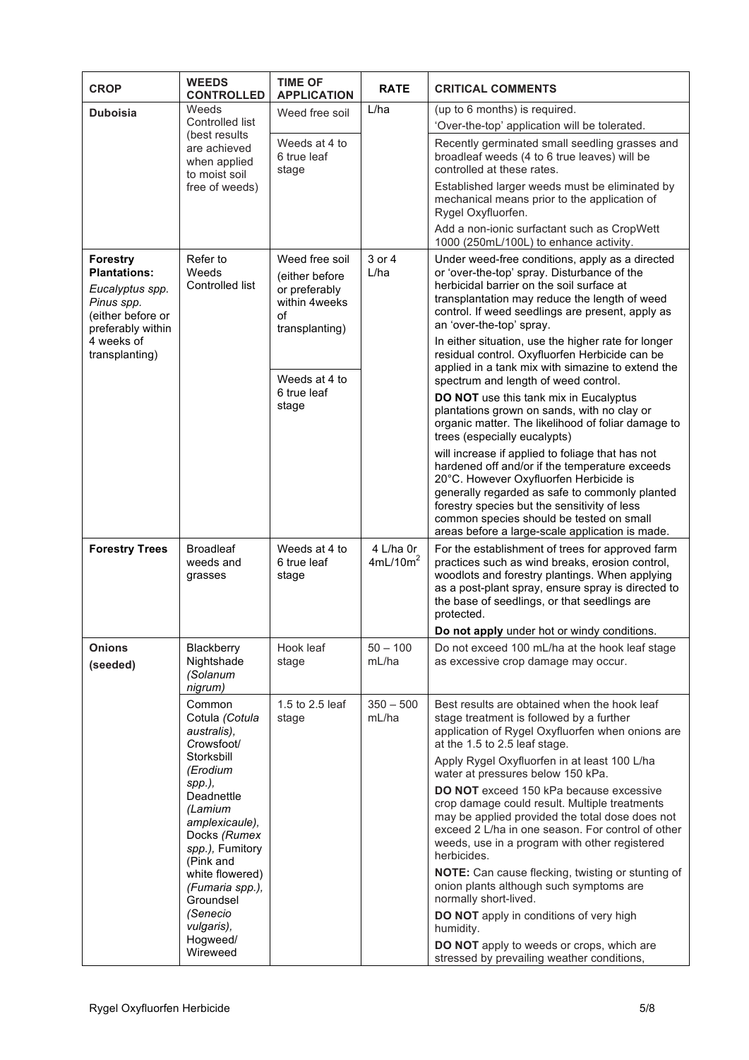| <b>CROP</b>                                                                                                                                                                                                                             | <b>WEEDS</b><br><b>CONTROLLED</b>               | <b>TIME OF</b><br><b>APPLICATION</b>                                     | <b>RATE</b>                                                                       | <b>CRITICAL COMMENTS</b>                                                                                                                                                                                                                                                                                                                      |
|-----------------------------------------------------------------------------------------------------------------------------------------------------------------------------------------------------------------------------------------|-------------------------------------------------|--------------------------------------------------------------------------|-----------------------------------------------------------------------------------|-----------------------------------------------------------------------------------------------------------------------------------------------------------------------------------------------------------------------------------------------------------------------------------------------------------------------------------------------|
| <b>Duboisia</b>                                                                                                                                                                                                                         | Weeds                                           | Weed free soil                                                           | L/ha                                                                              | (up to 6 months) is required.                                                                                                                                                                                                                                                                                                                 |
|                                                                                                                                                                                                                                         | Controlled list<br>(best results)               |                                                                          |                                                                                   | 'Over-the-top' application will be tolerated.                                                                                                                                                                                                                                                                                                 |
|                                                                                                                                                                                                                                         | are achieved<br>when applied<br>to moist soil   | Weeds at 4 to<br>6 true leaf<br>stage                                    |                                                                                   | Recently germinated small seedling grasses and<br>broadleaf weeds (4 to 6 true leaves) will be<br>controlled at these rates.                                                                                                                                                                                                                  |
|                                                                                                                                                                                                                                         | free of weeds)                                  |                                                                          |                                                                                   | Established larger weeds must be eliminated by<br>mechanical means prior to the application of<br>Rygel Oxyfluorfen.                                                                                                                                                                                                                          |
|                                                                                                                                                                                                                                         |                                                 |                                                                          |                                                                                   | Add a non-ionic surfactant such as CropWett<br>1000 (250mL/100L) to enhance activity.                                                                                                                                                                                                                                                         |
| <b>Forestry</b><br><b>Plantations:</b><br>Eucalyptus spp.<br>Pinus spp.<br>(either before or<br>preferably within                                                                                                                       | Refer to<br>Weeds<br>Controlled list            | Weed free soil<br>(either before<br>or preferably<br>within 4weeks<br>οf | 3 or 4<br>L/ha                                                                    | Under weed-free conditions, apply as a directed<br>or 'over-the-top' spray. Disturbance of the<br>herbicidal barrier on the soil surface at<br>transplantation may reduce the length of weed<br>control. If weed seedlings are present, apply as<br>an 'over-the-top' spray.                                                                  |
| 4 weeks of<br>transplanting)                                                                                                                                                                                                            |                                                 | transplanting)<br>Weeds at 4 to<br>6 true leaf<br>stage                  |                                                                                   | In either situation, use the higher rate for longer<br>residual control. Oxyfluorfen Herbicide can be<br>applied in a tank mix with simazine to extend the<br>spectrum and length of weed control.                                                                                                                                            |
|                                                                                                                                                                                                                                         |                                                 |                                                                          |                                                                                   | DO NOT use this tank mix in Eucalyptus<br>plantations grown on sands, with no clay or<br>organic matter. The likelihood of foliar damage to<br>trees (especially eucalypts)                                                                                                                                                                   |
|                                                                                                                                                                                                                                         |                                                 |                                                                          |                                                                                   | will increase if applied to foliage that has not<br>hardened off and/or if the temperature exceeds<br>20°C. However Oxyfluorfen Herbicide is<br>generally regarded as safe to commonly planted<br>forestry species but the sensitivity of less<br>common species should be tested on small<br>areas before a large-scale application is made. |
| <b>Forestry Trees</b>                                                                                                                                                                                                                   | <b>Broadleaf</b><br>weeds and<br>grasses        | Weeds at 4 to<br>6 true leaf<br>stage                                    | 4 L/ha 0r<br>4mL/10m <sup>2</sup>                                                 | For the establishment of trees for approved farm<br>practices such as wind breaks, erosion control,<br>woodlots and forestry plantings. When applying<br>as a post-plant spray, ensure spray is directed to<br>the base of seedlings, or that seedlings are<br>protected.                                                                     |
|                                                                                                                                                                                                                                         |                                                 |                                                                          |                                                                                   | Do not apply under hot or windy conditions.                                                                                                                                                                                                                                                                                                   |
| <b>Onions</b><br>(seeded)                                                                                                                                                                                                               | Blackberry<br>Nightshade<br>(Solanum<br>nigrum) | Hook leaf<br>stage                                                       | $50 - 100$<br>mL/ha                                                               | Do not exceed 100 mL/ha at the hook leaf stage<br>as excessive crop damage may occur.                                                                                                                                                                                                                                                         |
| Common<br>Cotula (Cotula<br>australis),<br>Crowsfoot/<br>Storksbill<br>(Erodium<br>spp.),<br>Deadnettle<br>(Lamium<br>amplexicaule),<br>Docks (Rumex<br>spp.), Fumitory<br>(Pink and<br>white flowered)<br>(Fumaria spp.),<br>Groundsel |                                                 | 1.5 to 2.5 leaf<br>stage                                                 | $350 - 500$<br>mL/ha                                                              | Best results are obtained when the hook leaf<br>stage treatment is followed by a further<br>application of Rygel Oxyfluorfen when onions are<br>at the 1.5 to 2.5 leaf stage.                                                                                                                                                                 |
|                                                                                                                                                                                                                                         |                                                 |                                                                          | Apply Rygel Oxyfluorfen in at least 100 L/ha<br>water at pressures below 150 kPa. |                                                                                                                                                                                                                                                                                                                                               |
|                                                                                                                                                                                                                                         |                                                 |                                                                          |                                                                                   | DO NOT exceed 150 kPa because excessive<br>crop damage could result. Multiple treatments<br>may be applied provided the total dose does not<br>exceed 2 L/ha in one season. For control of other<br>weeds, use in a program with other registered<br>herbicides.                                                                              |
|                                                                                                                                                                                                                                         |                                                 |                                                                          |                                                                                   | NOTE: Can cause flecking, twisting or stunting of<br>onion plants although such symptoms are<br>normally short-lived.                                                                                                                                                                                                                         |
|                                                                                                                                                                                                                                         | (Senecio<br>vulgaris),<br>Hogweed/              |                                                                          |                                                                                   | DO NOT apply in conditions of very high<br>humidity.                                                                                                                                                                                                                                                                                          |
|                                                                                                                                                                                                                                         | Wireweed                                        |                                                                          |                                                                                   | DO NOT apply to weeds or crops, which are<br>stressed by prevailing weather conditions,                                                                                                                                                                                                                                                       |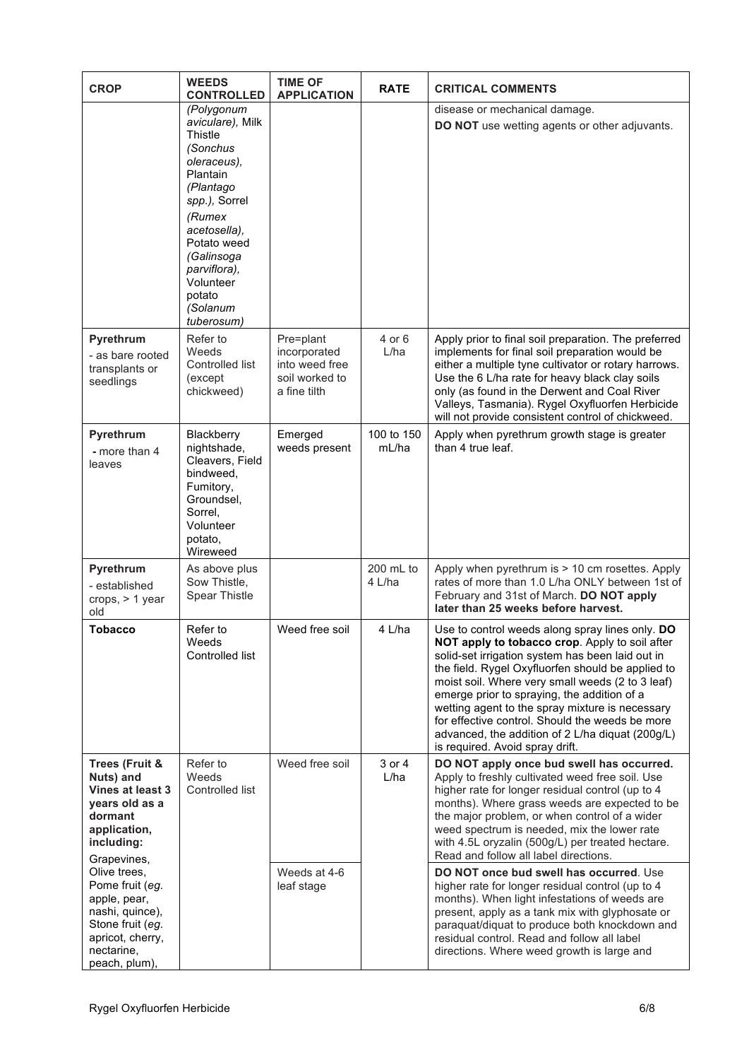| <b>CROP</b>                                                                                                                               | <b>WEEDS</b><br><b>CONTROLLED</b>                                                                                                                                                                                                      | <b>TIME OF</b><br><b>APPLICATION</b>                                          | <b>RATE</b>         | <b>CRITICAL COMMENTS</b>                                                                                                                                                                                                                                                                                                                                                                                                                                                                                   |
|-------------------------------------------------------------------------------------------------------------------------------------------|----------------------------------------------------------------------------------------------------------------------------------------------------------------------------------------------------------------------------------------|-------------------------------------------------------------------------------|---------------------|------------------------------------------------------------------------------------------------------------------------------------------------------------------------------------------------------------------------------------------------------------------------------------------------------------------------------------------------------------------------------------------------------------------------------------------------------------------------------------------------------------|
|                                                                                                                                           | (Polygonum<br>aviculare), Milk<br>Thistle<br>(Sonchus<br>oleraceus),<br>Plantain<br>(Plantago<br>spp.), Sorrel<br>(Rumex<br>acetosella),<br>Potato weed<br>(Galinsoga<br>parviflora),<br>Volunteer<br>potato<br>(Solanum<br>tuberosum) |                                                                               |                     | disease or mechanical damage.<br>DO NOT use wetting agents or other adjuvants.                                                                                                                                                                                                                                                                                                                                                                                                                             |
| Pyrethrum<br>- as bare rooted<br>transplants or<br>seedlings                                                                              | Refer to<br>Weeds<br>Controlled list<br>(except)<br>chickweed)                                                                                                                                                                         | Pre=plant<br>incorporated<br>into weed free<br>soil worked to<br>a fine tilth | 4 or 6<br>L/ha      | Apply prior to final soil preparation. The preferred<br>implements for final soil preparation would be<br>either a multiple tyne cultivator or rotary harrows.<br>Use the 6 L/ha rate for heavy black clay soils<br>only (as found in the Derwent and Coal River<br>Valleys, Tasmania). Rygel Oxyfluorfen Herbicide<br>will not provide consistent control of chickweed.                                                                                                                                   |
| Pyrethrum<br>- more than 4<br>leaves                                                                                                      | Blackberry<br>nightshade,<br>Cleavers, Field<br>bindweed,<br>Fumitory,<br>Groundsel,<br>Sorrel.<br>Volunteer<br>potato,<br>Wireweed                                                                                                    | Emerged<br>weeds present                                                      | 100 to 150<br>mL/ha | Apply when pyrethrum growth stage is greater<br>than 4 true leaf.                                                                                                                                                                                                                                                                                                                                                                                                                                          |
| Pyrethrum<br>- established<br>crops, $> 1$ year<br>old                                                                                    | As above plus<br>Sow Thistle,<br>Spear Thistle                                                                                                                                                                                         |                                                                               | 200 mL to<br>4 L/ha | Apply when pyrethrum is > 10 cm rosettes. Apply<br>rates of more than 1.0 L/ha ONLY between 1st of<br>February and 31st of March. DO NOT apply<br>later than 25 weeks before harvest.                                                                                                                                                                                                                                                                                                                      |
| <b>Tobacco</b>                                                                                                                            | Refer to<br>Weeds<br>Controlled list                                                                                                                                                                                                   | Weed free soil                                                                | 4 L/ha              | Use to control weeds along spray lines only. DO<br>NOT apply to tobacco crop. Apply to soil after<br>solid-set irrigation system has been laid out in<br>the field. Rygel Oxyfluorfen should be applied to<br>moist soil. Where very small weeds (2 to 3 leaf)<br>emerge prior to spraying, the addition of a<br>wetting agent to the spray mixture is necessary<br>for effective control. Should the weeds be more<br>advanced, the addition of 2 L/ha diquat (200g/L)<br>is required. Avoid spray drift. |
| Trees (Fruit &<br>Nuts) and<br>Vines at least 3<br>years old as a<br>dormant<br>application,<br>including:<br>Grapevines,                 | Refer to<br>Weeds<br>Controlled list                                                                                                                                                                                                   | Weed free soil                                                                | 3 or 4<br>L/ha      | DO NOT apply once bud swell has occurred.<br>Apply to freshly cultivated weed free soil. Use<br>higher rate for longer residual control (up to 4<br>months). Where grass weeds are expected to be<br>the major problem, or when control of a wider<br>weed spectrum is needed, mix the lower rate<br>with 4.5L oryzalin (500g/L) per treated hectare.<br>Read and follow all label directions.                                                                                                             |
| Olive trees,<br>Pome fruit (eg.<br>apple, pear,<br>nashi, quince),<br>Stone fruit (eg.<br>apricot, cherry,<br>nectarine,<br>peach, plum), |                                                                                                                                                                                                                                        | Weeds at 4-6<br>leaf stage                                                    |                     | DO NOT once bud swell has occurred. Use<br>higher rate for longer residual control (up to 4<br>months). When light infestations of weeds are<br>present, apply as a tank mix with glyphosate or<br>paraquat/diquat to produce both knockdown and<br>residual control. Read and follow all label<br>directions. Where weed growth is large and                                                                                                                                                              |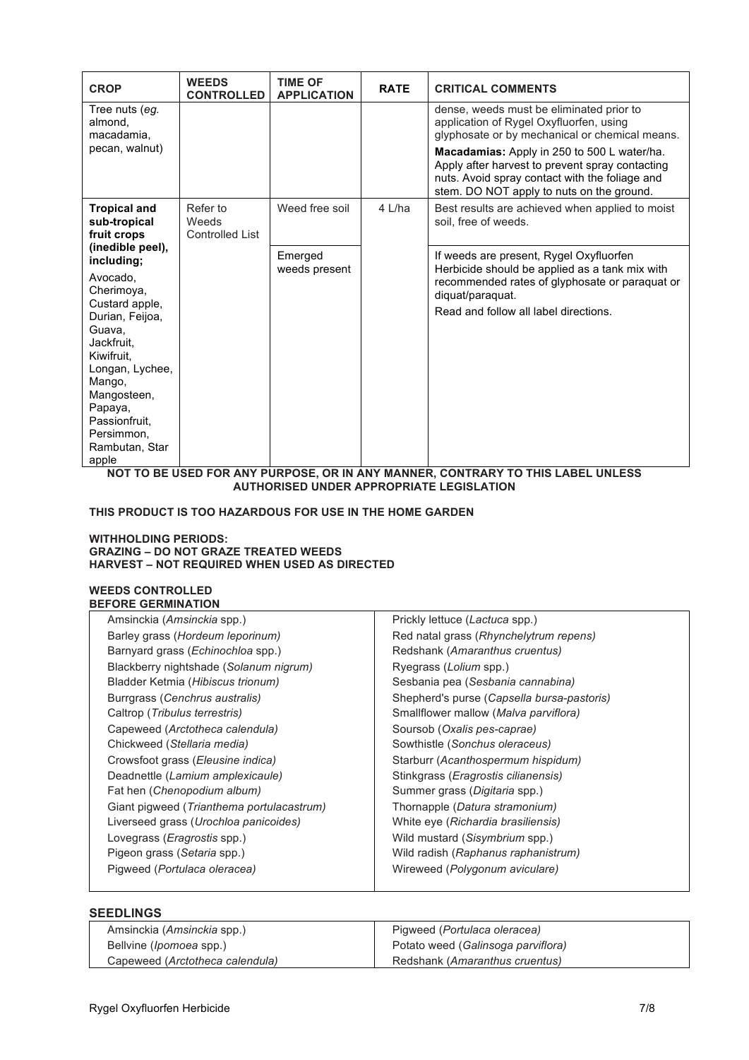| <b>CROP</b>                                                                                                                                                                                                                                          | <b>WEEDS</b><br><b>CONTROLLED</b>           | <b>TIME OF</b><br><b>APPLICATION</b> | <b>RATE</b> | <b>CRITICAL COMMENTS</b>                                                                                                                                                                                 |
|------------------------------------------------------------------------------------------------------------------------------------------------------------------------------------------------------------------------------------------------------|---------------------------------------------|--------------------------------------|-------------|----------------------------------------------------------------------------------------------------------------------------------------------------------------------------------------------------------|
| Tree nuts (eq.<br>almond,<br>macadamia,<br>pecan, walnut)                                                                                                                                                                                            |                                             |                                      |             | dense, weeds must be eliminated prior to<br>application of Rygel Oxyfluorfen, using<br>glyphosate or by mechanical or chemical means.                                                                    |
|                                                                                                                                                                                                                                                      |                                             |                                      |             | Macadamias: Apply in 250 to 500 L water/ha.<br>Apply after harvest to prevent spray contacting<br>nuts. Avoid spray contact with the foliage and<br>stem. DO NOT apply to nuts on the ground.            |
| <b>Tropical and</b><br>sub-tropical<br>fruit crops                                                                                                                                                                                                   | Refer to<br>Weeds<br><b>Controlled List</b> | Weed free soil                       | 4 L/ha      | Best results are achieved when applied to moist<br>soil, free of weeds.                                                                                                                                  |
| (inedible peel),<br>including;<br>Avocado.<br>Cherimoya,<br>Custard apple,<br>Durian, Feijoa,<br>Guava,<br>Jackfruit.<br>Kiwifruit.<br>Longan, Lychee,<br>Mango,<br>Mangosteen,<br>Papaya,<br>Passionfruit,<br>Persimmon,<br>Rambutan, Star<br>apple |                                             | Emerged<br>weeds present             |             | If weeds are present, Rygel Oxyfluorfen<br>Herbicide should be applied as a tank mix with<br>recommended rates of glyphosate or paraquat or<br>diquat/paraquat.<br>Read and follow all label directions. |

**NOT TO BE USED FOR ANY PURPOSE, OR IN ANY MANNER, CONTRARY TO THIS LABEL UNLESS AUTHORISED UNDER APPROPRIATE LEGISLATION**

#### **THIS PRODUCT IS TOO HAZARDOUS FOR USE IN THE HOME GARDEN**

#### **WITHHOLDING PERIODS: GRAZING – DO NOT GRAZE TREATED WEEDS HARVEST – NOT REQUIRED WHEN USED AS DIRECTED**

#### **WEEDS CONTROLLED BEFORE GERMINATION**

| Amsinckia (Amsinckia spp.)                         | Prickly lettuce (Lactuca spp.)               |
|----------------------------------------------------|----------------------------------------------|
|                                                    |                                              |
| Barley grass (Hordeum leporinum)                   | Red natal grass (Rhynchelytrum repens)       |
| Barnyard grass ( <i>Echinochloa</i> spp.)          | Redshank (Amaranthus cruentus)               |
| Blackberry nightshade (Solanum nigrum)             | Ryegrass ( <i>Lolium</i> spp.)               |
| Bladder Ketmia (Hibiscus trionum)                  | Sesbania pea (Sesbania cannabina)            |
| Burrgrass (Cenchrus australis)                     | Shepherd's purse (Capsella bursa-pastoris)   |
| Caltrop (Tribulus terrestris)                      | Smallflower mallow (Malva parviflora)        |
| Capeweed (Arctotheca calendula)                    | Soursob (Oxalis pes-caprae)                  |
| Chickweed (Stellaria media)                        | Sowthistle (Sonchus oleraceus)               |
| Crowsfoot grass ( <i>Eleusine indica</i> )         | Starburr (Acanthospermum hispidum)           |
| Deadnettle (Lamium amplexicaule)                   | Stinkgrass ( <i>Eragrostis cilianensis</i> ) |
| Fat hen (Chenopodium album)                        | Summer grass (Digitaria spp.)                |
| Giant pigweed ( <i>Trianthema portulacastrum</i> ) | Thornapple (Datura stramonium)               |
| Liverseed grass (Urochloa panicoides)              | White eye (Richardia brasiliensis)           |
| Lovegrass ( <i>Eragrostis</i> spp.)                | Wild mustard (Sisymbrium spp.)               |
| Pigeon grass (Setaria spp.)                        | Wild radish (Raphanus raphanistrum)          |
| Pigweed (Portulaca oleracea)                       | Wireweed (Polygonum aviculare)               |
|                                                    |                                              |

#### **SEEDLINGS**  Amsinckia (*Amsinckia* spp.) Bellvine (*Ipomoea* spp.) Capeweed (*Arctotheca calendula)* Pigweed (*Portulaca oleracea)* Potato weed (*Galinsoga parviflora)* Redshank (*Amaranthus cruentus)*